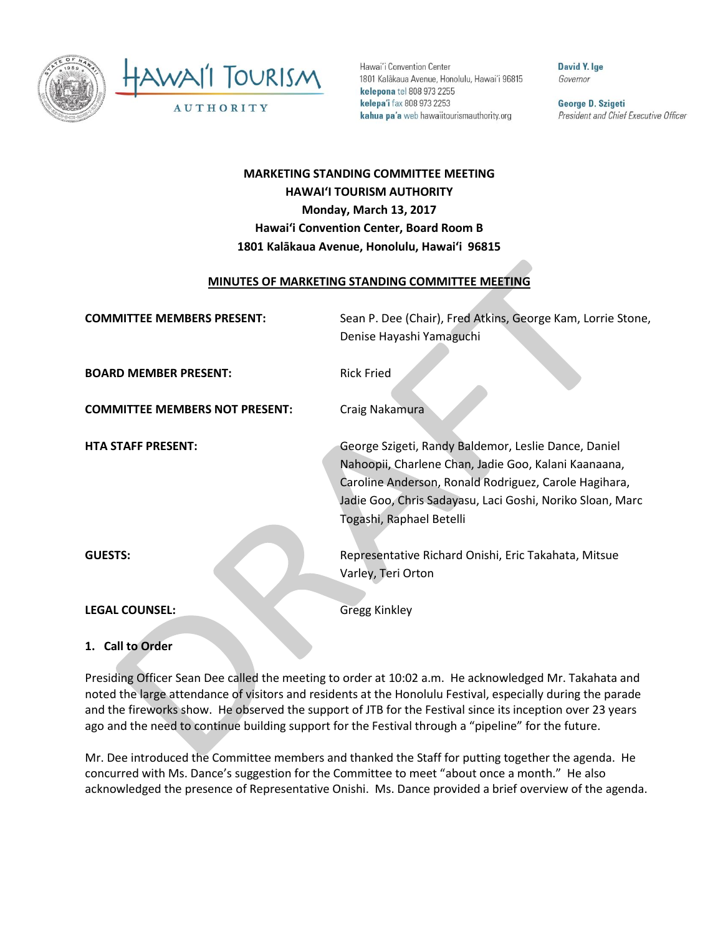

Hawai'i Convention Center 1801 Kalākaua Avenue, Honolulu, Hawai'i 96815 kelepona tel 808 973 2255 kelepa'i fax 808 973 2253 kahua pa'a web hawaiitourismauthority.org

**David Y. Ige** Governor

George D. Szigeti President and Chief Executive Officer

# **MARKETING STANDING COMMITTEE MEETING HAWAI'I TOURISM AUTHORITY Monday, March 13, 2017 Hawai'i Convention Center, Board Room B 1801 Kalākaua Avenue, Honolulu, Hawai'i 96815**

## **MINUTES OF MARKETING STANDING COMMITTEE MEETING**

| <b>COMMITTEE MEMBERS PRESENT:</b>     | Sean P. Dee (Chair), Fred Atkins, George Kam, Lorrie Stone,                                                                                                                                                                                                    |
|---------------------------------------|----------------------------------------------------------------------------------------------------------------------------------------------------------------------------------------------------------------------------------------------------------------|
|                                       | Denise Hayashi Yamaguchi                                                                                                                                                                                                                                       |
| <b>BOARD MEMBER PRESENT:</b>          | <b>Rick Fried</b>                                                                                                                                                                                                                                              |
| <b>COMMITTEE MEMBERS NOT PRESENT:</b> | Craig Nakamura                                                                                                                                                                                                                                                 |
| <b>HTA STAFF PRESENT:</b>             | George Szigeti, Randy Baldemor, Leslie Dance, Daniel<br>Nahoopii, Charlene Chan, Jadie Goo, Kalani Kaanaana,<br>Caroline Anderson, Ronald Rodriguez, Carole Hagihara,<br>Jadie Goo, Chris Sadayasu, Laci Goshi, Noriko Sloan, Marc<br>Togashi, Raphael Betelli |
| <b>GUESTS:</b>                        | Representative Richard Onishi, Eric Takahata, Mitsue                                                                                                                                                                                                           |
|                                       | Varley, Teri Orton                                                                                                                                                                                                                                             |
| <b>LEGAL COUNSEL:</b>                 | <b>Gregg Kinkley</b>                                                                                                                                                                                                                                           |
| .                                     |                                                                                                                                                                                                                                                                |

**1. Call to Order**

Presiding Officer Sean Dee called the meeting to order at 10:02 a.m. He acknowledged Mr. Takahata and noted the large attendance of visitors and residents at the Honolulu Festival, especially during the parade and the fireworks show. He observed the support of JTB for the Festival since its inception over 23 years ago and the need to continue building support for the Festival through a "pipeline" for the future.

Mr. Dee introduced the Committee members and thanked the Staff for putting together the agenda. He concurred with Ms. Dance's suggestion for the Committee to meet "about once a month." He also acknowledged the presence of Representative Onishi. Ms. Dance provided a brief overview of the agenda.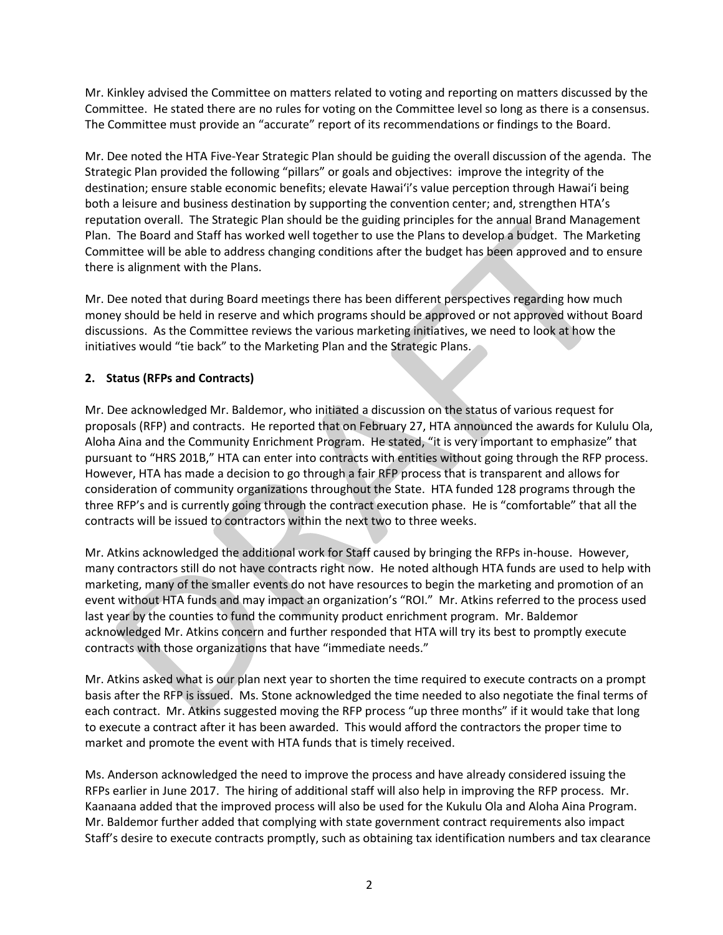Mr. Kinkley advised the Committee on matters related to voting and reporting on matters discussed by the Committee. He stated there are no rules for voting on the Committee level so long as there is a consensus. The Committee must provide an "accurate" report of its recommendations or findings to the Board.

Mr. Dee noted the HTA Five-Year Strategic Plan should be guiding the overall discussion of the agenda. The Strategic Plan provided the following "pillars" or goals and objectives: improve the integrity of the destination; ensure stable economic benefits; elevate Hawai'i's value perception through Hawai'i being both a leisure and business destination by supporting the convention center; and, strengthen HTA's reputation overall. The Strategic Plan should be the guiding principles for the annual Brand Management Plan. The Board and Staff has worked well together to use the Plans to develop a budget. The Marketing Committee will be able to address changing conditions after the budget has been approved and to ensure there is alignment with the Plans.

Mr. Dee noted that during Board meetings there has been different perspectives regarding how much money should be held in reserve and which programs should be approved or not approved without Board discussions. As the Committee reviews the various marketing initiatives, we need to look at how the initiatives would "tie back" to the Marketing Plan and the Strategic Plans.

# **2. Status (RFPs and Contracts)**

Mr. Dee acknowledged Mr. Baldemor, who initiated a discussion on the status of various request for proposals (RFP) and contracts. He reported that on February 27, HTA announced the awards for Kululu Ola, Aloha Aina and the Community Enrichment Program. He stated, "it is very important to emphasize" that pursuant to "HRS 201B," HTA can enter into contracts with entities without going through the RFP process. However, HTA has made a decision to go through a fair RFP process that is transparent and allows for consideration of community organizations throughout the State. HTA funded 128 programs through the three RFP's and is currently going through the contract execution phase. He is "comfortable" that all the contracts will be issued to contractors within the next two to three weeks.

Mr. Atkins acknowledged the additional work for Staff caused by bringing the RFPs in-house. However, many contractors still do not have contracts right now. He noted although HTA funds are used to help with marketing, many of the smaller events do not have resources to begin the marketing and promotion of an event without HTA funds and may impact an organization's "ROI." Mr. Atkins referred to the process used last year by the counties to fund the community product enrichment program. Mr. Baldemor acknowledged Mr. Atkins concern and further responded that HTA will try its best to promptly execute contracts with those organizations that have "immediate needs."

Mr. Atkins asked what is our plan next year to shorten the time required to execute contracts on a prompt basis after the RFP is issued. Ms. Stone acknowledged the time needed to also negotiate the final terms of each contract. Mr. Atkins suggested moving the RFP process "up three months" if it would take that long to execute a contract after it has been awarded. This would afford the contractors the proper time to market and promote the event with HTA funds that is timely received.

Ms. Anderson acknowledged the need to improve the process and have already considered issuing the RFPs earlier in June 2017. The hiring of additional staff will also help in improving the RFP process. Mr. Kaanaana added that the improved process will also be used for the Kukulu Ola and Aloha Aina Program. Mr. Baldemor further added that complying with state government contract requirements also impact Staff's desire to execute contracts promptly, such as obtaining tax identification numbers and tax clearance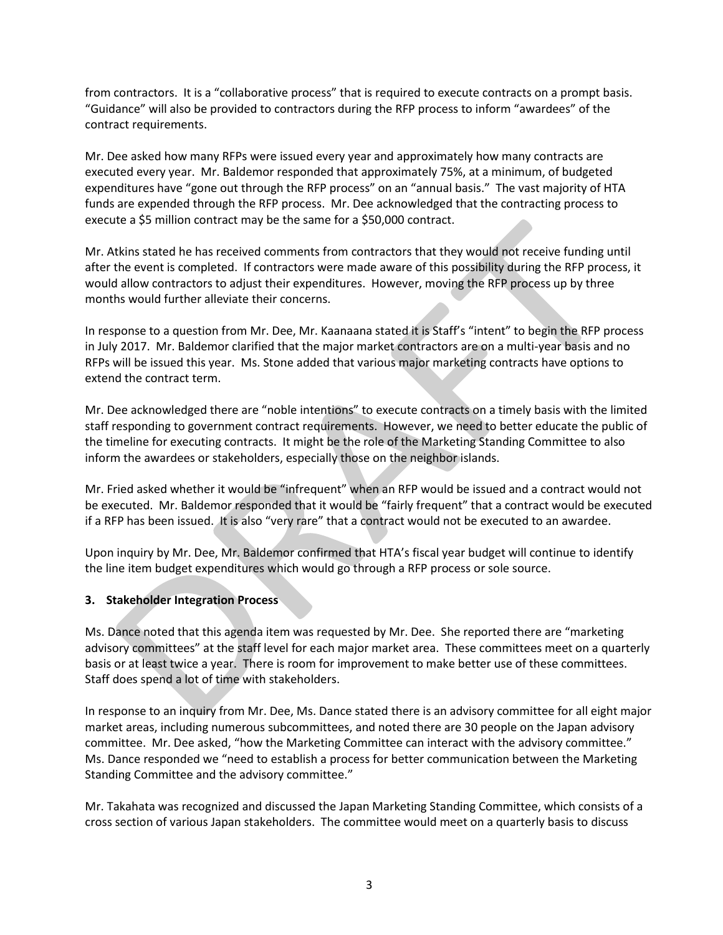from contractors. It is a "collaborative process" that is required to execute contracts on a prompt basis. "Guidance" will also be provided to contractors during the RFP process to inform "awardees" of the contract requirements.

Mr. Dee asked how many RFPs were issued every year and approximately how many contracts are executed every year. Mr. Baldemor responded that approximately 75%, at a minimum, of budgeted expenditures have "gone out through the RFP process" on an "annual basis." The vast majority of HTA funds are expended through the RFP process. Mr. Dee acknowledged that the contracting process to execute a \$5 million contract may be the same for a \$50,000 contract.

Mr. Atkins stated he has received comments from contractors that they would not receive funding until after the event is completed. If contractors were made aware of this possibility during the RFP process, it would allow contractors to adjust their expenditures. However, moving the RFP process up by three months would further alleviate their concerns.

In response to a question from Mr. Dee, Mr. Kaanaana stated it is Staff's "intent" to begin the RFP process in July 2017. Mr. Baldemor clarified that the major market contractors are on a multi-year basis and no RFPs will be issued this year. Ms. Stone added that various major marketing contracts have options to extend the contract term.

Mr. Dee acknowledged there are "noble intentions" to execute contracts on a timely basis with the limited staff responding to government contract requirements. However, we need to better educate the public of the timeline for executing contracts. It might be the role of the Marketing Standing Committee to also inform the awardees or stakeholders, especially those on the neighbor islands.

Mr. Fried asked whether it would be "infrequent" when an RFP would be issued and a contract would not be executed. Mr. Baldemor responded that it would be "fairly frequent" that a contract would be executed if a RFP has been issued. It is also "very rare" that a contract would not be executed to an awardee.

Upon inquiry by Mr. Dee, Mr. Baldemor confirmed that HTA's fiscal year budget will continue to identify the line item budget expenditures which would go through a RFP process or sole source.

# **3. Stakeholder Integration Process**

Ms. Dance noted that this agenda item was requested by Mr. Dee. She reported there are "marketing advisory committees" at the staff level for each major market area. These committees meet on a quarterly basis or at least twice a year. There is room for improvement to make better use of these committees. Staff does spend a lot of time with stakeholders.

In response to an inquiry from Mr. Dee, Ms. Dance stated there is an advisory committee for all eight major market areas, including numerous subcommittees, and noted there are 30 people on the Japan advisory committee. Mr. Dee asked, "how the Marketing Committee can interact with the advisory committee." Ms. Dance responded we "need to establish a process for better communication between the Marketing Standing Committee and the advisory committee."

Mr. Takahata was recognized and discussed the Japan Marketing Standing Committee, which consists of a cross section of various Japan stakeholders. The committee would meet on a quarterly basis to discuss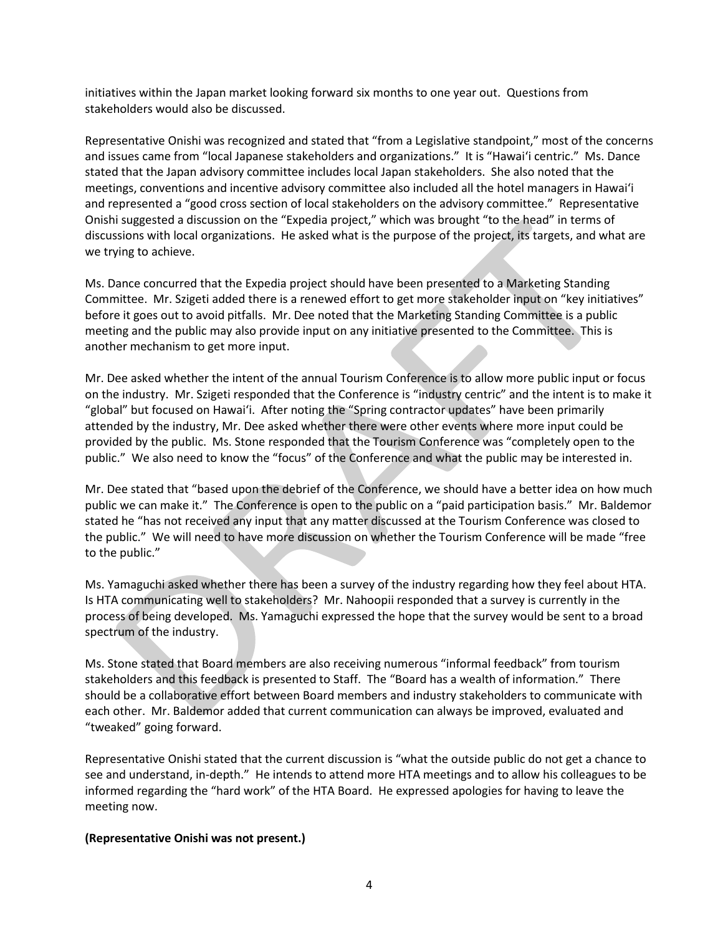initiatives within the Japan market looking forward six months to one year out. Questions from stakeholders would also be discussed.

Representative Onishi was recognized and stated that "from a Legislative standpoint," most of the concerns and issues came from "local Japanese stakeholders and organizations." It is "Hawai'i centric." Ms. Dance stated that the Japan advisory committee includes local Japan stakeholders. She also noted that the meetings, conventions and incentive advisory committee also included all the hotel managers in Hawai'i and represented a "good cross section of local stakeholders on the advisory committee." Representative Onishi suggested a discussion on the "Expedia project," which was brought "to the head" in terms of discussions with local organizations. He asked what is the purpose of the project, its targets, and what are we trying to achieve.

Ms. Dance concurred that the Expedia project should have been presented to a Marketing Standing Committee. Mr. Szigeti added there is a renewed effort to get more stakeholder input on "key initiatives" before it goes out to avoid pitfalls. Mr. Dee noted that the Marketing Standing Committee is a public meeting and the public may also provide input on any initiative presented to the Committee. This is another mechanism to get more input.

Mr. Dee asked whether the intent of the annual Tourism Conference is to allow more public input or focus on the industry. Mr. Szigeti responded that the Conference is "industry centric" and the intent is to make it "global" but focused on Hawai'i. After noting the "Spring contractor updates" have been primarily attended by the industry, Mr. Dee asked whether there were other events where more input could be provided by the public. Ms. Stone responded that the Tourism Conference was "completely open to the public." We also need to know the "focus" of the Conference and what the public may be interested in.

Mr. Dee stated that "based upon the debrief of the Conference, we should have a better idea on how much public we can make it." The Conference is open to the public on a "paid participation basis." Mr. Baldemor stated he "has not received any input that any matter discussed at the Tourism Conference was closed to the public." We will need to have more discussion on whether the Tourism Conference will be made "free to the public."

Ms. Yamaguchi asked whether there has been a survey of the industry regarding how they feel about HTA. Is HTA communicating well to stakeholders? Mr. Nahoopii responded that a survey is currently in the process of being developed. Ms. Yamaguchi expressed the hope that the survey would be sent to a broad spectrum of the industry.

Ms. Stone stated that Board members are also receiving numerous "informal feedback" from tourism stakeholders and this feedback is presented to Staff. The "Board has a wealth of information." There should be a collaborative effort between Board members and industry stakeholders to communicate with each other. Mr. Baldemor added that current communication can always be improved, evaluated and "tweaked" going forward.

Representative Onishi stated that the current discussion is "what the outside public do not get a chance to see and understand, in-depth." He intends to attend more HTA meetings and to allow his colleagues to be informed regarding the "hard work" of the HTA Board. He expressed apologies for having to leave the meeting now.

#### **(Representative Onishi was not present.)**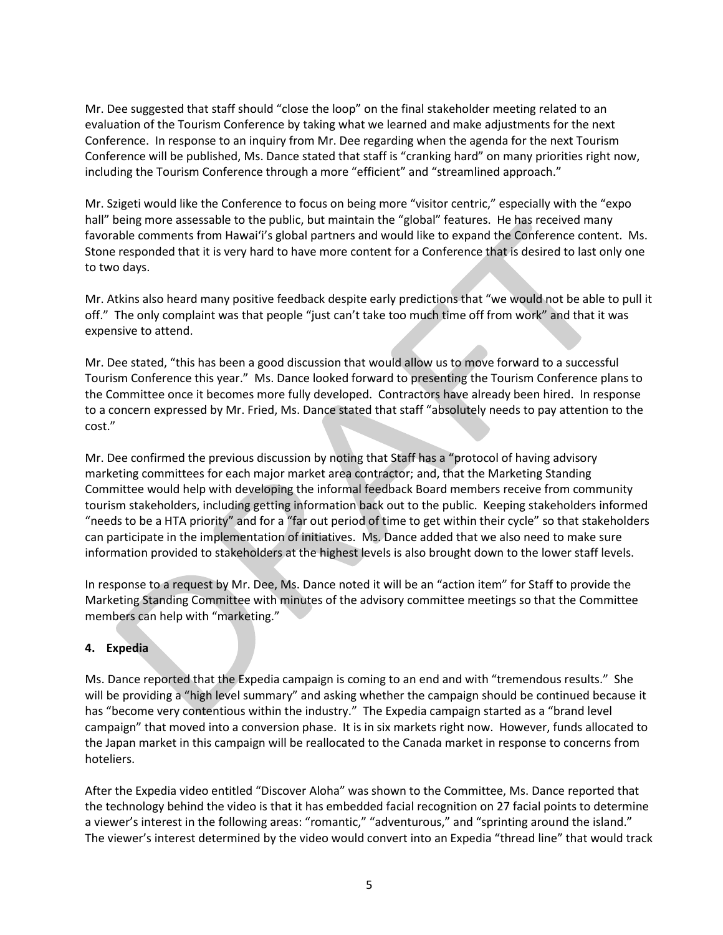Mr. Dee suggested that staff should "close the loop" on the final stakeholder meeting related to an evaluation of the Tourism Conference by taking what we learned and make adjustments for the next Conference. In response to an inquiry from Mr. Dee regarding when the agenda for the next Tourism Conference will be published, Ms. Dance stated that staff is "cranking hard" on many priorities right now, including the Tourism Conference through a more "efficient" and "streamlined approach."

Mr. Szigeti would like the Conference to focus on being more "visitor centric," especially with the "expo hall" being more assessable to the public, but maintain the "global" features. He has received many favorable comments from Hawai'i's global partners and would like to expand the Conference content. Ms. Stone responded that it is very hard to have more content for a Conference that is desired to last only one to two days.

Mr. Atkins also heard many positive feedback despite early predictions that "we would not be able to pull it off." The only complaint was that people "just can't take too much time off from work" and that it was expensive to attend.

Mr. Dee stated, "this has been a good discussion that would allow us to move forward to a successful Tourism Conference this year." Ms. Dance looked forward to presenting the Tourism Conference plans to the Committee once it becomes more fully developed. Contractors have already been hired. In response to a concern expressed by Mr. Fried, Ms. Dance stated that staff "absolutely needs to pay attention to the cost."

Mr. Dee confirmed the previous discussion by noting that Staff has a "protocol of having advisory marketing committees for each major market area contractor; and, that the Marketing Standing Committee would help with developing the informal feedback Board members receive from community tourism stakeholders, including getting information back out to the public. Keeping stakeholders informed "needs to be a HTA priority" and for a "far out period of time to get within their cycle" so that stakeholders can participate in the implementation of initiatives. Ms. Dance added that we also need to make sure information provided to stakeholders at the highest levels is also brought down to the lower staff levels.

In response to a request by Mr. Dee, Ms. Dance noted it will be an "action item" for Staff to provide the Marketing Standing Committee with minutes of the advisory committee meetings so that the Committee members can help with "marketing."

# **4. Expedia**

Ms. Dance reported that the Expedia campaign is coming to an end and with "tremendous results." She will be providing a "high level summary" and asking whether the campaign should be continued because it has "become very contentious within the industry." The Expedia campaign started as a "brand level campaign" that moved into a conversion phase. It is in six markets right now. However, funds allocated to the Japan market in this campaign will be reallocated to the Canada market in response to concerns from hoteliers.

After the Expedia video entitled "Discover Aloha" was shown to the Committee, Ms. Dance reported that the technology behind the video is that it has embedded facial recognition on 27 facial points to determine a viewer's interest in the following areas: "romantic," "adventurous," and "sprinting around the island." The viewer's interest determined by the video would convert into an Expedia "thread line" that would track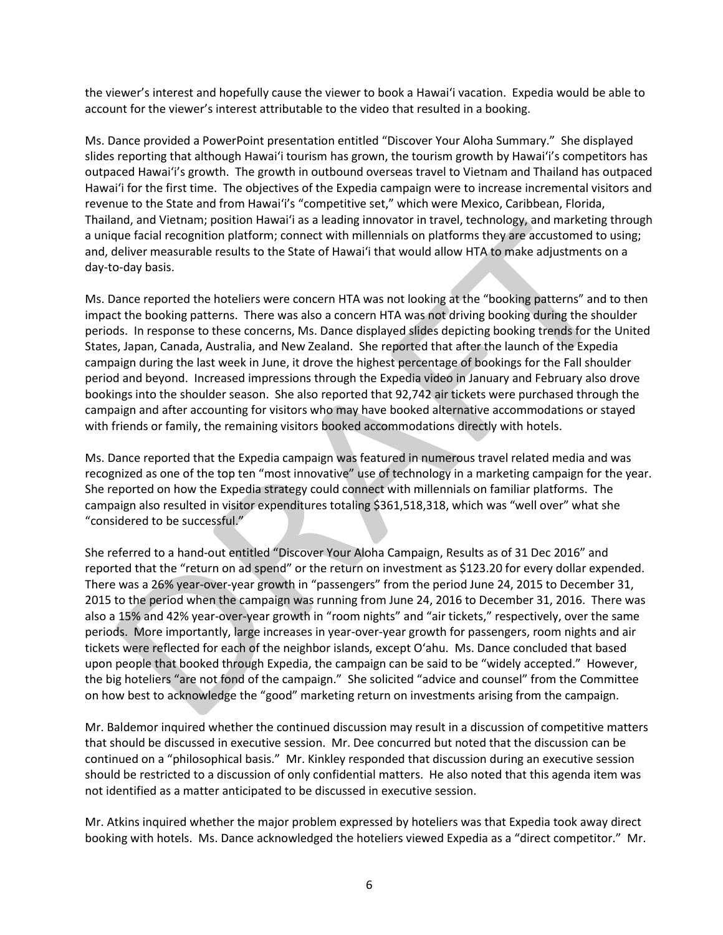the viewer's interest and hopefully cause the viewer to book a Hawai'i vacation. Expedia would be able to account for the viewer's interest attributable to the video that resulted in a booking.

Ms. Dance provided a PowerPoint presentation entitled "Discover Your Aloha Summary." She displayed slides reporting that although Hawai'i tourism has grown, the tourism growth by Hawai'i's competitors has outpaced Hawai'i's growth. The growth in outbound overseas travel to Vietnam and Thailand has outpaced Hawai'i for the first time. The objectives of the Expedia campaign were to increase incremental visitors and revenue to the State and from Hawai'i's "competitive set," which were Mexico, Caribbean, Florida, Thailand, and Vietnam; position Hawai'i as a leading innovator in travel, technology, and marketing through a unique facial recognition platform; connect with millennials on platforms they are accustomed to using; and, deliver measurable results to the State of Hawai'i that would allow HTA to make adjustments on a day-to-day basis.

Ms. Dance reported the hoteliers were concern HTA was not looking at the "booking patterns" and to then impact the booking patterns. There was also a concern HTA was not driving booking during the shoulder periods. In response to these concerns, Ms. Dance displayed slides depicting booking trends for the United States, Japan, Canada, Australia, and New Zealand. She reported that after the launch of the Expedia campaign during the last week in June, it drove the highest percentage of bookings for the Fall shoulder period and beyond. Increased impressions through the Expedia video in January and February also drove bookings into the shoulder season. She also reported that 92,742 air tickets were purchased through the campaign and after accounting for visitors who may have booked alternative accommodations or stayed with friends or family, the remaining visitors booked accommodations directly with hotels.

Ms. Dance reported that the Expedia campaign was featured in numerous travel related media and was recognized as one of the top ten "most innovative" use of technology in a marketing campaign for the year. She reported on how the Expedia strategy could connect with millennials on familiar platforms. The campaign also resulted in visitor expenditures totaling \$361,518,318, which was "well over" what she "considered to be successful."

She referred to a hand-out entitled "Discover Your Aloha Campaign, Results as of 31 Dec 2016" and reported that the "return on ad spend" or the return on investment as \$123.20 for every dollar expended. There was a 26% year-over-year growth in "passengers" from the period June 24, 2015 to December 31, 2015 to the period when the campaign was running from June 24, 2016 to December 31, 2016. There was also a 15% and 42% year-over-year growth in "room nights" and "air tickets," respectively, over the same periods. More importantly, large increases in year-over-year growth for passengers, room nights and air tickets were reflected for each of the neighbor islands, except O'ahu. Ms. Dance concluded that based upon people that booked through Expedia, the campaign can be said to be "widely accepted." However, the big hoteliers "are not fond of the campaign." She solicited "advice and counsel" from the Committee on how best to acknowledge the "good" marketing return on investments arising from the campaign.

Mr. Baldemor inquired whether the continued discussion may result in a discussion of competitive matters that should be discussed in executive session. Mr. Dee concurred but noted that the discussion can be continued on a "philosophical basis." Mr. Kinkley responded that discussion during an executive session should be restricted to a discussion of only confidential matters. He also noted that this agenda item was not identified as a matter anticipated to be discussed in executive session.

Mr. Atkins inquired whether the major problem expressed by hoteliers was that Expedia took away direct booking with hotels. Ms. Dance acknowledged the hoteliers viewed Expedia as a "direct competitor." Mr.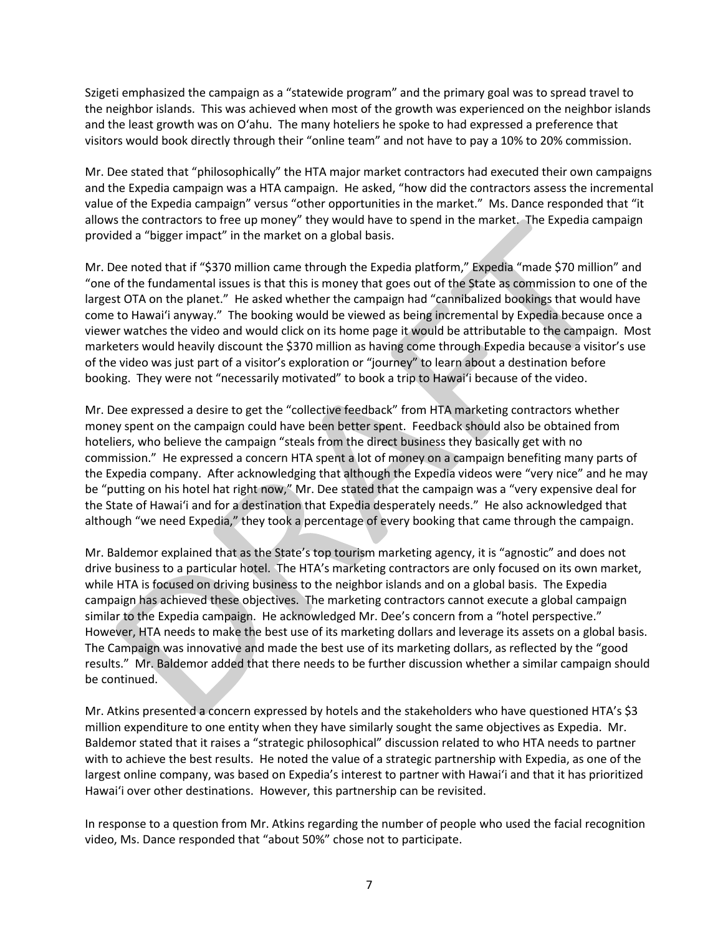Szigeti emphasized the campaign as a "statewide program" and the primary goal was to spread travel to the neighbor islands. This was achieved when most of the growth was experienced on the neighbor islands and the least growth was on O'ahu. The many hoteliers he spoke to had expressed a preference that visitors would book directly through their "online team" and not have to pay a 10% to 20% commission.

Mr. Dee stated that "philosophically" the HTA major market contractors had executed their own campaigns and the Expedia campaign was a HTA campaign. He asked, "how did the contractors assess the incremental value of the Expedia campaign" versus "other opportunities in the market." Ms. Dance responded that "it allows the contractors to free up money" they would have to spend in the market. The Expedia campaign provided a "bigger impact" in the market on a global basis.

Mr. Dee noted that if "\$370 million came through the Expedia platform," Expedia "made \$70 million" and "one of the fundamental issues is that this is money that goes out of the State as commission to one of the largest OTA on the planet." He asked whether the campaign had "cannibalized bookings that would have come to Hawai'i anyway." The booking would be viewed as being incremental by Expedia because once a viewer watches the video and would click on its home page it would be attributable to the campaign. Most marketers would heavily discount the \$370 million as having come through Expedia because a visitor's use of the video was just part of a visitor's exploration or "journey" to learn about a destination before booking. They were not "necessarily motivated" to book a trip to Hawai'i because of the video.

Mr. Dee expressed a desire to get the "collective feedback" from HTA marketing contractors whether money spent on the campaign could have been better spent. Feedback should also be obtained from hoteliers, who believe the campaign "steals from the direct business they basically get with no commission." He expressed a concern HTA spent a lot of money on a campaign benefiting many parts of the Expedia company. After acknowledging that although the Expedia videos were "very nice" and he may be "putting on his hotel hat right now," Mr. Dee stated that the campaign was a "very expensive deal for the State of Hawai'i and for a destination that Expedia desperately needs." He also acknowledged that although "we need Expedia," they took a percentage of every booking that came through the campaign.

Mr. Baldemor explained that as the State's top tourism marketing agency, it is "agnostic" and does not drive business to a particular hotel. The HTA's marketing contractors are only focused on its own market, while HTA is focused on driving business to the neighbor islands and on a global basis. The Expedia campaign has achieved these objectives. The marketing contractors cannot execute a global campaign similar to the Expedia campaign. He acknowledged Mr. Dee's concern from a "hotel perspective." However, HTA needs to make the best use of its marketing dollars and leverage its assets on a global basis. The Campaign was innovative and made the best use of its marketing dollars, as reflected by the "good results." Mr. Baldemor added that there needs to be further discussion whether a similar campaign should be continued.

Mr. Atkins presented a concern expressed by hotels and the stakeholders who have questioned HTA's \$3 million expenditure to one entity when they have similarly sought the same objectives as Expedia. Mr. Baldemor stated that it raises a "strategic philosophical" discussion related to who HTA needs to partner with to achieve the best results. He noted the value of a strategic partnership with Expedia, as one of the largest online company, was based on Expedia's interest to partner with Hawai'i and that it has prioritized Hawai'i over other destinations. However, this partnership can be revisited.

In response to a question from Mr. Atkins regarding the number of people who used the facial recognition video, Ms. Dance responded that "about 50%" chose not to participate.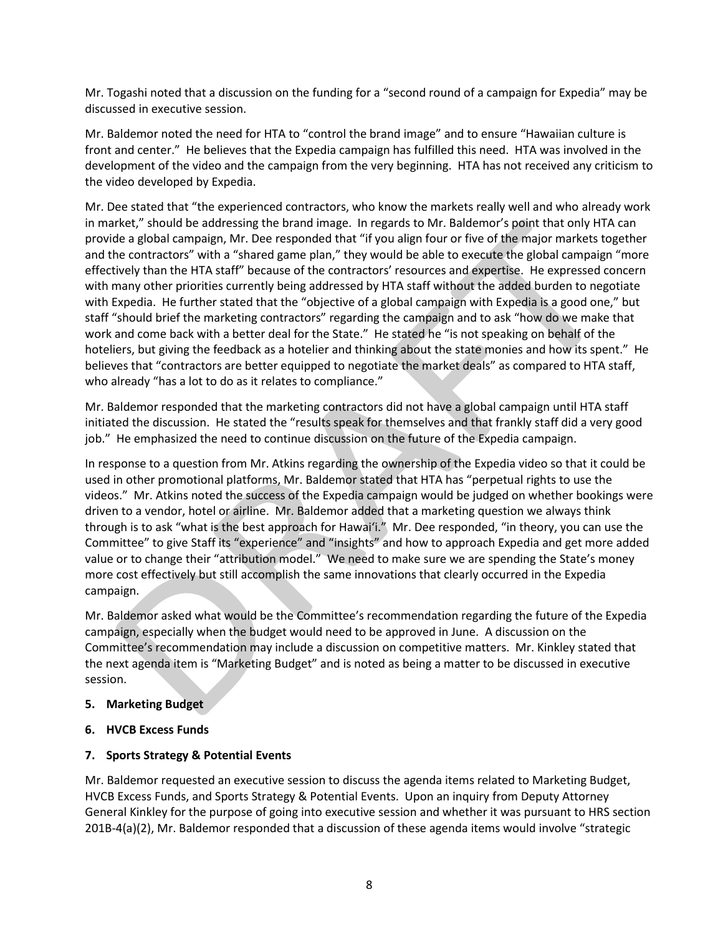Mr. Togashi noted that a discussion on the funding for a "second round of a campaign for Expedia" may be discussed in executive session.

Mr. Baldemor noted the need for HTA to "control the brand image" and to ensure "Hawaiian culture is front and center." He believes that the Expedia campaign has fulfilled this need. HTA was involved in the development of the video and the campaign from the very beginning. HTA has not received any criticism to the video developed by Expedia.

Mr. Dee stated that "the experienced contractors, who know the markets really well and who already work in market," should be addressing the brand image. In regards to Mr. Baldemor's point that only HTA can provide a global campaign, Mr. Dee responded that "if you align four or five of the major markets together and the contractors" with a "shared game plan," they would be able to execute the global campaign "more effectively than the HTA staff" because of the contractors' resources and expertise. He expressed concern with many other priorities currently being addressed by HTA staff without the added burden to negotiate with Expedia. He further stated that the "objective of a global campaign with Expedia is a good one," but staff "should brief the marketing contractors" regarding the campaign and to ask "how do we make that work and come back with a better deal for the State." He stated he "is not speaking on behalf of the hoteliers, but giving the feedback as a hotelier and thinking about the state monies and how its spent." He believes that "contractors are better equipped to negotiate the market deals" as compared to HTA staff, who already "has a lot to do as it relates to compliance."

Mr. Baldemor responded that the marketing contractors did not have a global campaign until HTA staff initiated the discussion. He stated the "results speak for themselves and that frankly staff did a very good job." He emphasized the need to continue discussion on the future of the Expedia campaign.

In response to a question from Mr. Atkins regarding the ownership of the Expedia video so that it could be used in other promotional platforms, Mr. Baldemor stated that HTA has "perpetual rights to use the videos." Mr. Atkins noted the success of the Expedia campaign would be judged on whether bookings were driven to a vendor, hotel or airline. Mr. Baldemor added that a marketing question we always think through is to ask "what is the best approach for Hawai'i." Mr. Dee responded, "in theory, you can use the Committee" to give Staff its "experience" and "insights" and how to approach Expedia and get more added value or to change their "attribution model." We need to make sure we are spending the State's money more cost effectively but still accomplish the same innovations that clearly occurred in the Expedia campaign.

Mr. Baldemor asked what would be the Committee's recommendation regarding the future of the Expedia campaign, especially when the budget would need to be approved in June. A discussion on the Committee's recommendation may include a discussion on competitive matters. Mr. Kinkley stated that the next agenda item is "Marketing Budget" and is noted as being a matter to be discussed in executive session.

- **5. Marketing Budget**
- **6. HVCB Excess Funds**

### **7. Sports Strategy & Potential Events**

Mr. Baldemor requested an executive session to discuss the agenda items related to Marketing Budget, HVCB Excess Funds, and Sports Strategy & Potential Events. Upon an inquiry from Deputy Attorney General Kinkley for the purpose of going into executive session and whether it was pursuant to HRS section 201B-4(a)(2), Mr. Baldemor responded that a discussion of these agenda items would involve "strategic